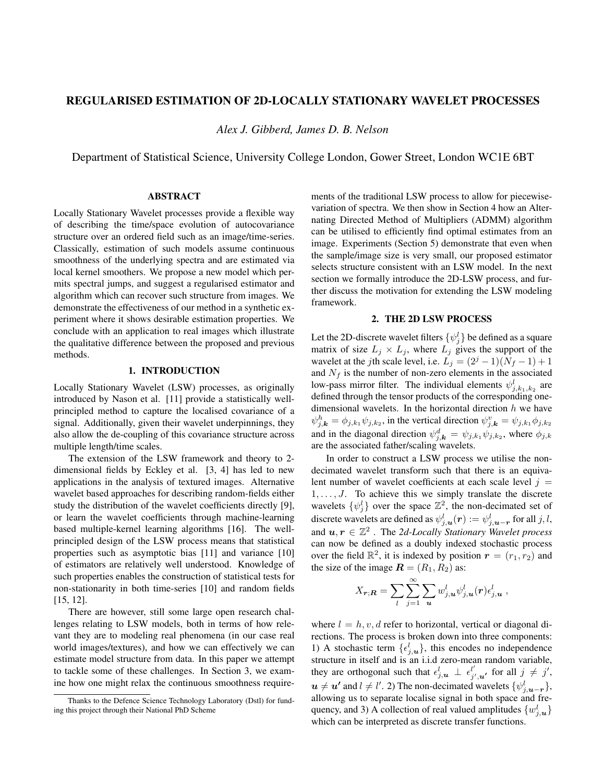## REGULARISED ESTIMATION OF 2D-LOCALLY STATIONARY WAVELET PROCESSES

*Alex J. Gibberd, James D. B. Nelson*

Department of Statistical Science, University College London, Gower Street, London WC1E 6BT

# ABSTRACT

Locally Stationary Wavelet processes provide a flexible way of describing the time/space evolution of autocovariance structure over an ordered field such as an image/time-series. Classically, estimation of such models assume continuous smoothness of the underlying spectra and are estimated via local kernel smoothers. We propose a new model which permits spectral jumps, and suggest a regularised estimator and algorithm which can recover such structure from images. We demonstrate the effectiveness of our method in a synthetic experiment where it shows desirable estimation properties. We conclude with an application to real images which illustrate the qualitative difference between the proposed and previous methods.

# 1. INTRODUCTION

Locally Stationary Wavelet (LSW) processes, as originally introduced by Nason et al. [11] provide a statistically wellprincipled method to capture the localised covariance of a signal. Additionally, given their wavelet underpinnings, they also allow the de-coupling of this covariance structure across multiple length/time scales.

The extension of the LSW framework and theory to 2 dimensional fields by Eckley et al. [3, 4] has led to new applications in the analysis of textured images. Alternative wavelet based approaches for describing random-fields either study the distribution of the wavelet coefficients directly [9], or learn the wavelet coefficients through machine-learning based multiple-kernel learning algorithms [16]. The wellprincipled design of the LSW process means that statistical properties such as asymptotic bias [11] and variance [10] of estimators are relatively well understood. Knowledge of such properties enables the construction of statistical tests for non-stationarity in both time-series [10] and random fields [15, 12].

There are however, still some large open research challenges relating to LSW models, both in terms of how relevant they are to modeling real phenomena (in our case real world images/textures), and how we can effectively we can estimate model structure from data. In this paper we attempt to tackle some of these challenges. In Section 3, we examine how one might relax the continuous smoothness requirements of the traditional LSW process to allow for piecewisevariation of spectra. We then show in Section 4 how an Alternating Directed Method of Multipliers (ADMM) algorithm can be utilised to efficiently find optimal estimates from an image. Experiments (Section 5) demonstrate that even when the sample/image size is very small, our proposed estimator selects structure consistent with an LSW model. In the next section we formally introduce the 2D-LSW process, and further discuss the motivation for extending the LSW modeling framework.

#### 2. THE 2D LSW PROCESS

Let the 2D-discrete wavelet filters  $\{\psi_j^l\}$  be defined as a square matrix of size  $L_j \times L_j$ , where  $L_j$  gives the support of the wavelet at the jth scale level, i.e.  $L_i = (2^j - 1)(N_f - 1) + 1$ and  $N_f$  is the number of non-zero elements in the associated low-pass mirror filter. The individual elements  $\psi_{j,k_1,k_2}^l$  are defined through the tensor products of the corresponding onedimensional wavelets. In the horizontal direction  $h$  we have  $\psi_{j,k}^h = \phi_{j,k_1} \psi_{j,k_2}$ , in the vertical direction  $\psi_{j,k}^v = \psi_{j,k_1} \phi_{j,k_2}$ and in the diagonal direction  $\psi_{j,k}^d = \psi_{j,k_1} \psi_{j,k_2}$ , where  $\phi_{j,k_1}$ are the associated father/scaling wavelets.

In order to construct a LSW process we utilise the nondecimated wavelet transform such that there is an equivalent number of wavelet coefficients at each scale level  $j =$  $1, \ldots, J$ . To achieve this we simply translate the discrete wavelets  $\{\psi_j^l\}$  over the space  $\mathbb{Z}^2$ , the non-decimated set of discrete wavelets are defined as  $\psi_{j, \boldsymbol u}^l(\boldsymbol r) := \psi_{j, \boldsymbol u-r}^l$  for all  $j, l,$ and  $u, r \in \mathbb{Z}^2$ . The 2d-Locally Stationary Wavelet process can now be defined as a doubly indexed stochastic process over the field  $\mathbb{R}^2$ , it is indexed by position  $r = (r_1, r_2)$  and the size of the image  $\mathbf{R} = (R_1, R_2)$  as:

$$
X_{\boldsymbol{r};\boldsymbol{R}} = \sum_{l} \sum_{j=1}^{\infty} \sum_{\boldsymbol{u}} w_{j,\boldsymbol{u}}^{l} \psi_{j,\boldsymbol{u}}^{l}(\boldsymbol{r}) \epsilon_{j,\boldsymbol{u}}^{l},
$$

where  $l = h, v, d$  refer to horizontal, vertical or diagonal directions. The process is broken down into three components: 1) A stochastic term  $\{\epsilon_{j,u}^l\}$ , this encodes no independence structure in itself and is an i.i.d zero-mean random variable, they are orthogonal such that  $\epsilon_{j,\boldsymbol{u}}^l \perp \epsilon_{j}^{l'}$  $j', u'$  for all  $j \neq j'$ ,  $u \neq u'$  and  $l \neq l'$ . 2) The non-decimated wavelets  $\{\psi^l_{j,\mathbf{u}-\mathbf{r}}\},$ allowing us to separate localise signal in both space and frequency, and 3) A collection of real valued amplitudes  $\{w_{j,\mathbf{u}}^l\}$ which can be interpreted as discrete transfer functions.

Thanks to the Defence Science Technology Laboratory (Dstl) for funding this project through their National PhD Scheme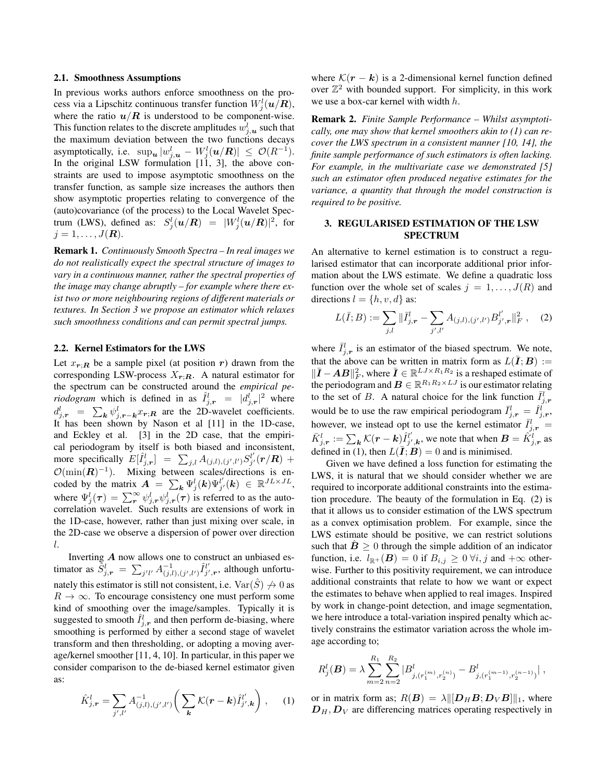#### 2.1. Smoothness Assumptions

In previous works authors enforce smoothness on the process via a Lipschitz continuous transfer function  $W_j^l(\boldsymbol{u}/\boldsymbol{R}),$ where the ratio  $u/R$  is understood to be component-wise. This function relates to the discrete amplitudes  $w_{j,\boldsymbol{u}}^l$  such that the maximum deviation between the two functions decays asymptotically, i.e.  $\sup_{\mathbf{u}} |w_{j,\mathbf{u}}^l - W_j^l(\mathbf{u}/\mathbf{R})| \leq \mathcal{O}(R^{-1}).$ In the original LSW formulation [11, 3], the above constraints are used to impose asymptotic smoothness on the transfer function, as sample size increases the authors then show asymptotic properties relating to convergence of the (auto)covariance (of the process) to the Local Wavelet Spectrum (LWS), defined as:  $S_j^l(\mathbf{u}/\mathbf{R}) = |W_j^l(\mathbf{u}/\mathbf{R})|^2$ , for  $j=1,\ldots,J(\mathbf{R}).$ 

Remark 1. *Continuously Smooth Spectra – In real images we do not realistically expect the spectral structure of images to vary in a continuous manner, rather the spectral properties of the image may change abruptly – for example where there exist two or more neighbouring regions of different materials or textures. In Section 3 we propose an estimator which relaxes such smoothness conditions and can permit spectral jumps.*

## 2.2. Kernel Estimators for the LWS

Let  $x_{r;R}$  be a sample pixel (at position r) drawn from the corresponding LSW-process  $X_{r;R}$ . A natural estimator for the spectrum can be constructed around the *empirical periodogram* which is defined in as  $\hat{I}_{j,r}^l = |d_{j,r}^l|^2$  where  $d_{j,r}^l = \sum_{\mathbf{k}} \psi_{j,r-\mathbf{k}}^l x_{r;\mathbf{R}}$  are the 2D-wavelet coefficients. It has been shown by Nason et al [11] in the 1D-case, and Eckley et al. [3] in the 2D case, that the empirical periodogram by itself is both biased and inconsistent, more specifically  $E[\hat{I}_{j,\bm{r}}^l] = \sum_{j,l} A_{(j,l),(j',l')} S_{j'}^{l'}(\bm{r}/\bm{R}) +$  $\mathcal{O}(\min(\mathbf{R})^{-1})$ . Mixing between scales/directions is encoded by the matrix  $\mathbf{A} = \sum_{k} \Psi_{j}^{l}(k) \Psi_{j'}^{l'}(k) \in \mathbb{R}^{JL \times JL}$ , where  $\Psi_j^l(\tau) = \sum_{\bf{r}}^{\infty} \psi_{j,\bf{r}}^l \psi_{j,\bf{r}}^l(\tau)$  is referred to as the autocorrelation wavelet. Such results are extensions of work in the 1D-case, however, rather than just mixing over scale, in the 2D-case we observe a dispersion of power over direction l.

Inverting  $A$  now allows one to construct an unbiased estimator as  $\tilde{S}^l_{j,\bm{r}} \ = \ \sum_{j'l'} A^{-1}_{(j,l),(j',l')} \hat{I}^{l'}_{j',\bm{r}},$  although unfortunately this estimator is still not consistent, i.e.  $\text{Var}(\hat{S}) \neq 0$  as  $R \to \infty$ . To encourage consistency one must perform some kind of smoothing over the image/samples. Typically it is suggested to smooth  $\hat{I}_{j,r}^l$  and then perform de-biasing, where smoothing is performed by either a second stage of wavelet transform and then thresholding, or adopting a moving average/kernel smoother [11, 4, 10]. In particular, in this paper we consider comparison to the de-biased kernel estimator given as:

$$
\hat{K}_{j,r}^{l} = \sum_{j',l'} A_{(j,l),(j',l')}^{-1} \left( \sum_{k} \mathcal{K}(r-k) \hat{I}_{j',k}^{l'} \right), \quad (1)
$$

where  $\mathcal{K}(\mathbf{r} - \mathbf{k})$  is a 2-dimensional kernel function defined over  $\mathbb{Z}^2$  with bounded support. For simplicity, in this work we use a box-car kernel with width h.

Remark 2. *Finite Sample Performance – Whilst asymptotically, one may show that kernel smoothers akin to (1) can recover the LWS spectrum in a consistent manner [10, 14], the finite sample performance of such estimators is often lacking. For example, in the multivariate case we demonstrated [5] such an estimator often produced negative estimates for the variance, a quantity that through the model construction is required to be positive.*

## 3. REGULARISED ESTIMATION OF THE LSW SPECTRUM

An alternative to kernel estimation is to construct a regularised estimator that can incorporate additional prior information about the LWS estimate. We define a quadratic loss function over the whole set of scales  $j = 1, \ldots, J(R)$  and directions  $l = \{h, v, d\}$  as:

$$
L(\bar{I};B) := \sum_{j,l} \|\bar{I}_{j,r}^l - \sum_{j',l'} A_{(j,l),(j',l')} B_{j',r}^{l'}\|_F^2 , \quad (2)
$$

where  $\bar{I}_{j,r}^l$  is an estimator of the biased spectrum. We note, that the above can be written in matrix form as  $L(\bar{I};B) :=$  $\|\bar{I} - AB\|_F^2$ , where  $\bar{I} \in \mathbb{R}^{LJ \times R_1 R_2}$  is a reshaped estimate of the periodogram and  $\mathbf{B} \in \mathbb{R}^{R_1 R_2 \times LJ}$  is our estimator relating to the set of B. A natural choice for the link function  $\bar{I}_{j,r}^l$ would be to use the raw empirical periodogram  $\bar{I}_{j,r}^l = \hat{I}_{j,r}^l$ , however, we instead opt to use the kernel estimator  $\bar{I}_{j,r}^{l}$  =  $\bar{K}_{j,\bm{r}}^l := \sum_{\bm{k}} \mathcal{K}(\bm{r}-\bm{k}) \hat{I}_{j',\bm{k}}^{l'}$ , we note that when  $\bm{B} = \hat{K}_{j,\bm{r}}^l$  as defined in (1), then  $L(\overrightarrow{\textbf{I}}, \overrightarrow{\textbf{B}}) = 0$  and is minimised.

Given we have defined a loss function for estimating the LWS, it is natural that we should consider whether we are required to incorporate additional constraints into the estimation procedure. The beauty of the formulation in Eq. (2) is that it allows us to consider estimation of the LWS spectrum as a convex optimisation problem. For example, since the LWS estimate should be positive, we can restrict solutions such that  $\hat{B} \geq 0$  through the simple addition of an indicator function, i.e.  $l_{\mathbb{R}^+}(\mathbf{B}) = 0$  if  $B_{i,j} \geq 0 \forall i, j$  and  $+\infty$  otherwise. Further to this positivity requirement, we can introduce additional constraints that relate to how we want or expect the estimates to behave when applied to real images. Inspired by work in change-point detection, and image segmentation, we here introduce a total-variation inspired penalty which actively constrains the estimator variation across the whole image according to;

$$
R_j^l(\mathbf{B}) = \lambda \sum_{m=2}^{R_1} \sum_{n=2}^{R_2} |B_{j,(r_1^{(m)},r_2^{(n)})}^l - B_{j,(r_1^{(m-1)},r_2^{(n-1)})}^l|,
$$

or in matrix form as;  $R(B) = \lambda ||[D_H B; D_V B]||_1$ , where  $D_H, D_V$  are differencing matrices operating respectively in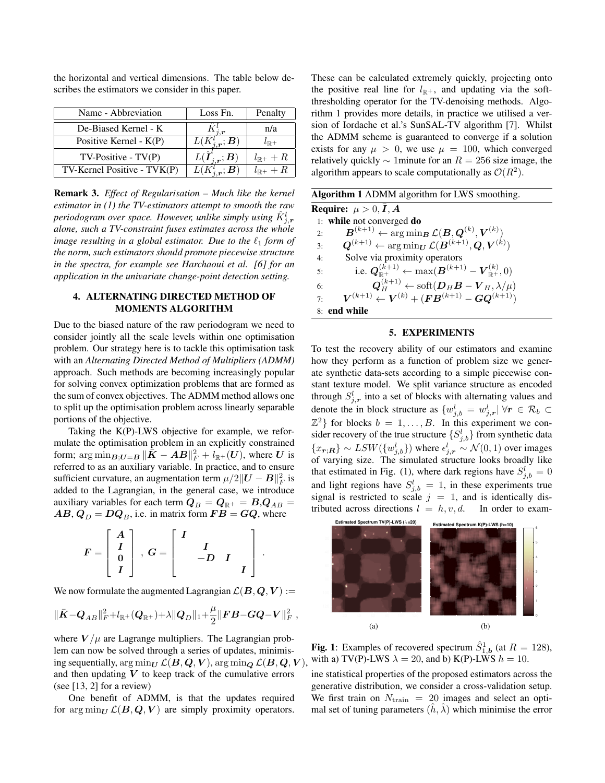| Name - Abbreviation               | Loss Fn. | Penalty              |
|-----------------------------------|----------|----------------------|
| De-Biased Kernel - K              |          | n/a                  |
| Positive Kernel - $K(P)$          |          | + ⊊ד                 |
| $TV\text{-}Positive\text{-}TV(P)$ |          | $l_{\mathbb{R}^+}+R$ |
| TV-Kernel Positive - TVK(P)       |          | $l_{\mathbb{D}^+}+R$ |

the horizontal and vertical dimensions. The table below describes the estimators we consider in this paper.

Remark 3. *Effect of Regularisation – Much like the kernel estimator in (1) the TV-estimators attempt to smooth the raw* periodogram over space. However, unlike simply using  $\hat{K}_{j,\bm{r}}^{l}$ *alone, such a TV-constraint fuses estimates across the whole image resulting in a global estimator. Due to the*  $\ell_1$  *form of the norm, such estimators should promote piecewise structure in the spectra, for example see Harchaoui et al. [6] for an application in the univariate change-point detection setting.*

## 4. ALTERNATING DIRECTED METHOD OF MOMENTS ALGORITHM

Due to the biased nature of the raw periodogram we need to consider jointly all the scale levels within one optimisation problem. Our strategy here is to tackle this optimisation task with an *Alternating Directed Method of Multipliers (ADMM)* approach. Such methods are becoming increasingly popular for solving convex optimization problems that are formed as the sum of convex objectives. The ADMM method allows one to split up the optimisation problem across linearly separable portions of the objective.

Taking the K(P)-LWS objective for example, we reformulate the optimisation problem in an explicitly constrained form;  $\operatorname{arg\,min}_{\bm{B};\bm{U}=\bm{B}} \|\tilde{\bm{K}} - \bm{A}\bm{B}\|_F^2 + l_{\mathbb{R}^+}(\bm{U})$ , where  $\bm{U}$  is referred to as an auxiliary variable. In practice, and to ensure sufficient curvature, an augmentation term  $\mu/2||\boldsymbol{U} - \boldsymbol{B}||_F^2$  is added to the Lagrangian, in the general case, we introduce auxiliary variables for each term  $Q_B = Q_{\mathbb{R}^+} = B \cdot Q_{AB} = 0$  $AB, Q_D = DQ_B$ , i.e. in matrix form  $FB = GQ$ , where

$$
F = \begin{bmatrix} A \\ I \\ 0 \\ I \end{bmatrix}, G = \begin{bmatrix} I \\ I \\ -D & I \\ I \end{bmatrix}
$$

.

We now formulate the augmented Lagrangian  $\mathcal{L}(\mathbf{B}, \mathbf{Q}, \mathbf{V}) :=$ 

$$
\|\bar{\pmb{K}}\!-\!\pmb{Q}_{AB}\|^2_F\!+\!l_{\mathbb{R}^+}(\pmb{Q}_{\mathbb{R}^+})\!+\!\lambda\|\pmb{Q}_D\|_1\!+\!\displaystyle\frac{\mu}{2}\|\pmb{F}\pmb{B}\!-\!\pmb{G}\pmb{Q}\!-\!\pmb{V}\|^2_F\;,
$$

where  $V/\mu$  are Lagrange multipliers. The Lagrangian problem can now be solved through a series of updates, minimising sequentially,  $\arg \min_{U} \mathcal{L}(\mathbf{B}, \mathbf{Q}, \mathbf{V})$ ,  $\arg \min_{\mathbf{Q}} \mathcal{L}(\mathbf{B}, \mathbf{Q}, \mathbf{V})$ , and then updating  $V$  to keep track of the cumulative errors (see [13, 2] for a review)

One benefit of ADMM, is that the updates required for arg min<sub>U</sub>  $\mathcal{L}(\mathbf{B}, \mathbf{Q}, \mathbf{V})$  are simply proximity operators.

These can be calculated extremely quickly, projecting onto the positive real line for  $l_{\mathbb{R}^+}$ , and updating via the softthresholding operator for the TV-denoising methods. Algorithm 1 provides more details, in practice we utilised a version of Iordache et al.'s SunSAL-TV algorithm [7]. Whilst the ADMM scheme is guaranteed to converge if a solution exists for any  $\mu > 0$ , we use  $\mu = 100$ , which converged relatively quickly  $\sim 1$ minute for an  $R = 256$  size image, the algorithm appears to scale computationally as  $\mathcal{O}(R^2)$ .

| <b>Algorithm 1</b> ADMM algorithm for LWS smoothing.                                                                                             |  |
|--------------------------------------------------------------------------------------------------------------------------------------------------|--|
| <b>Require:</b> $\mu > 0, I, A$                                                                                                                  |  |
| 1: while not converged $do$                                                                                                                      |  |
| $\boldsymbol{B}^{(k+1)} \leftarrow \arg\min_{\boldsymbol{B}} \mathcal{L}(\boldsymbol{B},\boldsymbol{Q}^{(k)},\boldsymbol{V}^{(k)})$<br>2.5       |  |
| $\boldsymbol{Q}^{(k+1)} \leftarrow \arg\min_{\boldsymbol{U}} \mathcal{L}(\boldsymbol{B}^{(k+1)}, \boldsymbol{Q}, \boldsymbol{V}^{(k)})$<br>3:    |  |
| Solve via proximity operators<br>4:                                                                                                              |  |
| i.e. $\mathbf{Q}_{\mathbb{D}+}^{(k+1)} \leftarrow \max(\mathbf{B}^{(k+1)} - \mathbf{V}_{\mathbb{D}+}^{(k)}, 0)$<br>5:                            |  |
| $\boldsymbol{Q}_{H}^{(k+1)} \leftarrow \text{soft}(\boldsymbol{D}_{H}\boldsymbol{B} - \boldsymbol{V}_{H}, \lambda/\mu)$<br>6:                    |  |
| $\boldsymbol{V}^{(k+1)} \leftarrow \boldsymbol{V}^{(k)} + (\boldsymbol{F} \boldsymbol{B}^{(k+1)} - \boldsymbol{G} \boldsymbol{Q}^{(k+1)})$<br>7: |  |
| 8: end while                                                                                                                                     |  |

#### 5. EXPERIMENTS

To test the recovery ability of our estimators and examine how they perform as a function of problem size we generate synthetic data-sets according to a simple piecewise constant texture model. We split variance structure as encoded through  $S_{j,r}^l$  into a set of blocks with alternating values and denote the in block structure as  $\{w_{j,b}^l = w_{j,r}^l | \forall r \in \mathcal{R}_b \subset$  $\mathbb{Z}^2$  for blocks  $b = 1, \ldots, B$ . In this experiment we consider recovery of the true structure  $\{S_{j,b}^l\}$  from synthetic data  ${x_{\bm{r};\bm{R}}} \sim LSW(\{w^l_{j,b}\})$  where  $\epsilon^l_{j,\bm{r}} \sim \mathcal{N}(0,1)$  over images of varying size. The simulated structure looks broadly like that estimated in Fig. (1), where dark regions have  $S_{j,b}^l = 0$ and light regions have  $S_{j,b}^l = 1$ , in these experiments true signal is restricted to scale  $j = 1$ , and is identically distributed across directions  $l = h, v, d$ . In order to exam-



**Fig. 1**: Examples of recovered spectrum  $\hat{S}_{1,b}^1$  (at  $R = 128$ ), with a) TV(P)-LWS  $\lambda = 20$ , and b) K(P)-LWS  $h = 10$ .

ine statistical properties of the proposed estimators across the generative distribution, we consider a cross-validation setup. We first train on  $N_{\text{train}} = 20$  images and select an optimal set of tuning parameters  $(h, \lambda)$  which minimise the error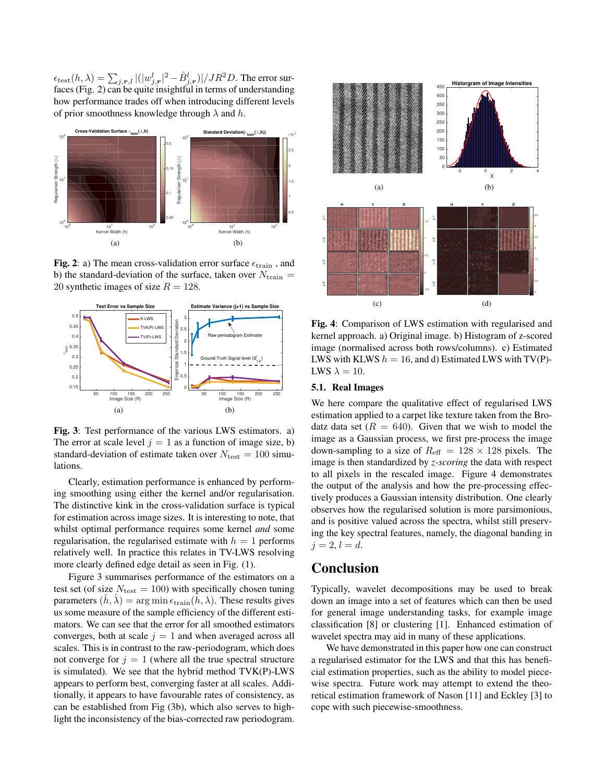$\epsilon_{\rm test}(h,\lambda)=\sum_{j,\bm{r},l}|(|w_{j,\bm{r}}^l|^2-\hat{B}_{j,\bm{r}}^l)|/JR^2D.$  The error surfaces (Fig. 2) can be quite insightful in terms of understanding how performance trades off when introducing different levels of prior smoothness knowledge through  $\lambda$  and  $h$ .



Fig. 2: a) The mean cross-validation error surface  $\epsilon_{\text{train}}$ , and b) the standard-deviation of the surface, taken over  $N_{\text{train}} =$ 20 synthetic images of size  $R = 128$ .



Fig. 3: Test performance of the various LWS estimators. a) The error at scale level  $j = 1$  as a function of image size, b) standard-deviation of estimate taken over  $N_{\text{test}} = 100 \text{ simu-}$ lations.

Clearly, estimation performance is enhanced by performing smoothing using either the kernel and/or regularisation. The distinctive kink in the cross-validation surface is typical for estimation across image sizes. It is interesting to note, that whilst optimal performance requires some kernel *and* some regularisation, the regularised estimate with  $h = 1$  performs relatively well. In practice this relates in TV-LWS resolving more clearly defined edge detail as seen in Fig. (1).

Figure 3 summarises performance of the estimators on a test set (of size  $N_{\text{test}} = 100$ ) with specifically chosen tuning parameters  $(\hat{h}, \hat{\lambda}) = \arg \min \epsilon_{\text{train}}(h, \lambda)$ . These results gives us some measure of the sample efficiency of the different estimators. We can see that the error for all smoothed estimators converges, both at scale  $j = 1$  and when averaged across all scales. This is in contrast to the raw-periodogram, which does not converge for  $j = 1$  (where all the true spectral structure is simulated). We see that the hybrid method TVK(P)-LWS appears to perform best, converging faster at all scales. Additionally, it appears to have favourable rates of consistency, as can be established from Fig (3b), which also serves to highlight the inconsistency of the bias-corrected raw periodogram.



Fig. 4: Comparison of LWS estimation with regularised and kernel approach. a) Original image. b) Histogram of z-scored image (normalised across both rows/columns). c) Estimated LWS with KLWS  $h = 16$ , and d) Estimated LWS with TV(P)-LWS  $\lambda = 10$ .

#### 5.1. Real Images

We here compare the qualitative effect of regularised LWS estimation applied to a carpet like texture taken from the Brodatz data set  $(R = 640)$ . Given that we wish to model the image as a Gaussian process, we first pre-process the image down-sampling to a size of  $R_{\text{eff}} = 128 \times 128$  pixels. The image is then standardized by *z-scoring* the data with respect to all pixels in the rescaled image. Figure 4 demonstrates the output of the analysis and how the pre-processing effectively produces a Gaussian intensity distribution. One clearly observes how the regularised solution is more parsimonious, and is positive valued across the spectra, whilst still preserving the key spectral features, namely, the diagonal banding in  $j = 2, l = d.$ 

# Conclusion

Typically, wavelet decompositions may be used to break down an image into a set of features which can then be used for general image understanding tasks, for example image classification [8] or clustering [1]. Enhanced estimation of wavelet spectra may aid in many of these applications.

We have demonstrated in this paper how one can construct a regularised estimator for the LWS and that this has beneficial estimation properties, such as the ability to model piecewise spectra. Future work may attempt to extend the theoretical estimation framework of Nason [11] and Eckley [3] to cope with such piecewise-smoothness.